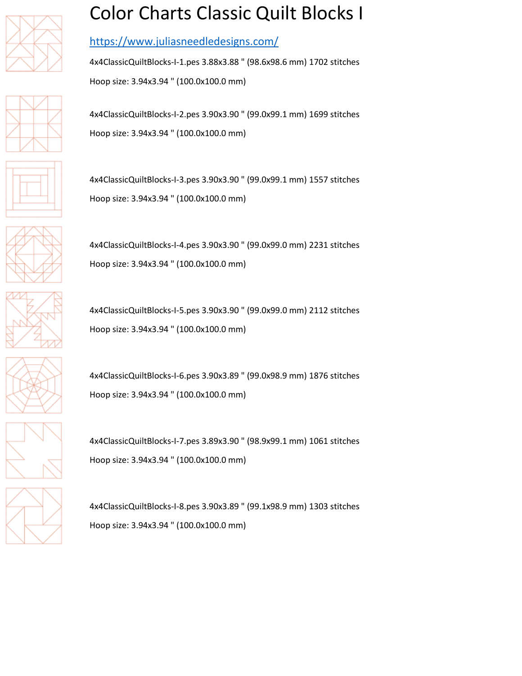







## Color Charts Classic Quilt Blocks I

## <https://www.juliasneedledesigns.com/>

4x4ClassicQuiltBlocks-I-1.pes 3.88x3.88 " (98.6x98.6 mm) 1702 stitches Hoop size: 3.94x3.94 " (100.0x100.0 mm)

4x4ClassicQuiltBlocks-I-2.pes 3.90x3.90 " (99.0x99.1 mm) 1699 stitches Hoop size: 3.94x3.94 " (100.0x100.0 mm)

4x4ClassicQuiltBlocks-I-3.pes 3.90x3.90 " (99.0x99.1 mm) 1557 stitches Hoop size: 3.94x3.94 " (100.0x100.0 mm)

4x4ClassicQuiltBlocks-I-4.pes 3.90x3.90 " (99.0x99.0 mm) 2231 stitches Hoop size: 3.94x3.94 " (100.0x100.0 mm)

4x4ClassicQuiltBlocks-I-5.pes 3.90x3.90 " (99.0x99.0 mm) 2112 stitches Hoop size: 3.94x3.94 " (100.0x100.0 mm)

4x4ClassicQuiltBlocks-I-6.pes 3.90x3.89 " (99.0x98.9 mm) 1876 stitches Hoop size: 3.94x3.94 " (100.0x100.0 mm)

4x4ClassicQuiltBlocks-I-7.pes 3.89x3.90 " (98.9x99.1 mm) 1061 stitches Hoop size: 3.94x3.94 " (100.0x100.0 mm)

4x4ClassicQuiltBlocks-I-8.pes 3.90x3.89 " (99.1x98.9 mm) 1303 stitches Hoop size: 3.94x3.94 " (100.0x100.0 mm)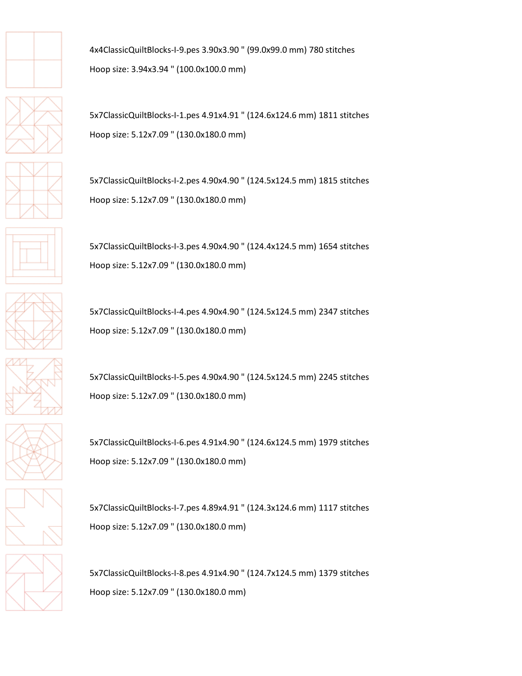

4x4ClassicQuiltBlocks-I-9.pes 3.90x3.90 " (99.0x99.0 mm) 780 stitches Hoop size: 3.94x3.94 " (100.0x100.0 mm)

5x7ClassicQuiltBlocks-I-1.pes 4.91x4.91 " (124.6x124.6 mm) 1811 stitches Hoop size: 5.12x7.09 " (130.0x180.0 mm)

5x7ClassicQuiltBlocks-I-2.pes 4.90x4.90 " (124.5x124.5 mm) 1815 stitches Hoop size: 5.12x7.09 " (130.0x180.0 mm)

5x7ClassicQuiltBlocks-I-3.pes 4.90x4.90 " (124.4x124.5 mm) 1654 stitches Hoop size: 5.12x7.09 " (130.0x180.0 mm)

5x7ClassicQuiltBlocks-I-4.pes 4.90x4.90 " (124.5x124.5 mm) 2347 stitches Hoop size: 5.12x7.09 " (130.0x180.0 mm)

5x7ClassicQuiltBlocks-I-5.pes 4.90x4.90 " (124.5x124.5 mm) 2245 stitches Hoop size: 5.12x7.09 " (130.0x180.0 mm)

5x7ClassicQuiltBlocks-I-6.pes 4.91x4.90 " (124.6x124.5 mm) 1979 stitches Hoop size: 5.12x7.09 " (130.0x180.0 mm)

5x7ClassicQuiltBlocks-I-7.pes 4.89x4.91 " (124.3x124.6 mm) 1117 stitches Hoop size: 5.12x7.09 " (130.0x180.0 mm)

5x7ClassicQuiltBlocks-I-8.pes 4.91x4.90 " (124.7x124.5 mm) 1379 stitches Hoop size: 5.12x7.09 " (130.0x180.0 mm)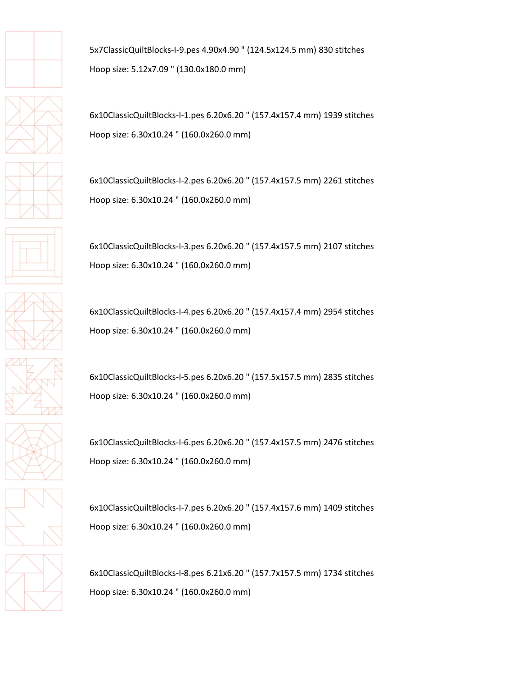



6x10ClassicQuiltBlocks-I-1.pes 6.20x6.20 " (157.4x157.4 mm) 1939 stitches Hoop size: 6.30x10.24 " (160.0x260.0 mm)

6x10ClassicQuiltBlocks-I-2.pes 6.20x6.20 " (157.4x157.5 mm) 2261 stitches Hoop size: 6.30x10.24 " (160.0x260.0 mm)

6x10ClassicQuiltBlocks-I-3.pes 6.20x6.20 " (157.4x157.5 mm) 2107 stitches Hoop size: 6.30x10.24 " (160.0x260.0 mm)

6x10ClassicQuiltBlocks-I-4.pes 6.20x6.20 " (157.4x157.4 mm) 2954 stitches Hoop size: 6.30x10.24 " (160.0x260.0 mm)

6x10ClassicQuiltBlocks-I-5.pes 6.20x6.20 " (157.5x157.5 mm) 2835 stitches Hoop size: 6.30x10.24 " (160.0x260.0 mm)

6x10ClassicQuiltBlocks-I-6.pes 6.20x6.20 " (157.4x157.5 mm) 2476 stitches Hoop size: 6.30x10.24 " (160.0x260.0 mm)

6x10ClassicQuiltBlocks-I-7.pes 6.20x6.20 " (157.4x157.6 mm) 1409 stitches Hoop size: 6.30x10.24 " (160.0x260.0 mm)

6x10ClassicQuiltBlocks-I-8.pes 6.21x6.20 " (157.7x157.5 mm) 1734 stitches Hoop size: 6.30x10.24 " (160.0x260.0 mm)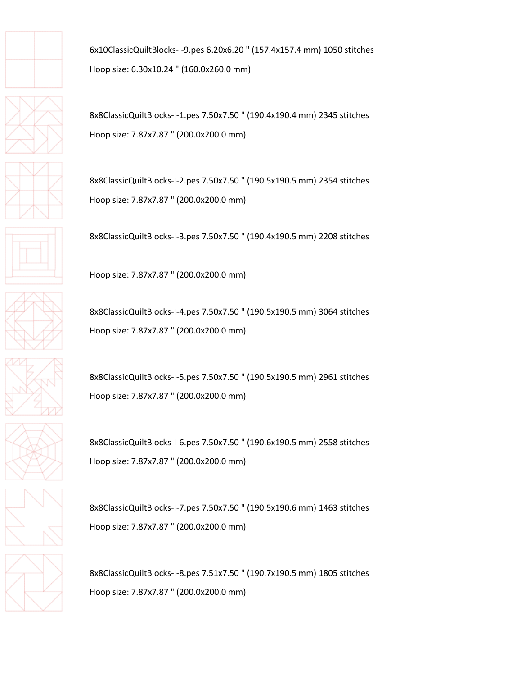

6x10ClassicQuiltBlocks-I-9.pes 6.20x6.20 " (157.4x157.4 mm) 1050 stitches Hoop size: 6.30x10.24 " (160.0x260.0 mm)

8x8ClassicQuiltBlocks-I-1.pes 7.50x7.50 " (190.4x190.4 mm) 2345 stitches Hoop size: 7.87x7.87 " (200.0x200.0 mm)

8x8ClassicQuiltBlocks-I-2.pes 7.50x7.50 " (190.5x190.5 mm) 2354 stitches Hoop size: 7.87x7.87 " (200.0x200.0 mm)

8x8ClassicQuiltBlocks-I-3.pes 7.50x7.50 " (190.4x190.5 mm) 2208 stitches

Hoop size: 7.87x7.87 " (200.0x200.0 mm)

8x8ClassicQuiltBlocks-I-4.pes 7.50x7.50 " (190.5x190.5 mm) 3064 stitches Hoop size: 7.87x7.87 " (200.0x200.0 mm)

8x8ClassicQuiltBlocks-I-5.pes 7.50x7.50 " (190.5x190.5 mm) 2961 stitches Hoop size: 7.87x7.87 " (200.0x200.0 mm)

8x8ClassicQuiltBlocks-I-6.pes 7.50x7.50 " (190.6x190.5 mm) 2558 stitches Hoop size: 7.87x7.87 " (200.0x200.0 mm)

8x8ClassicQuiltBlocks-I-7.pes 7.50x7.50 " (190.5x190.6 mm) 1463 stitches Hoop size: 7.87x7.87 " (200.0x200.0 mm)

8x8ClassicQuiltBlocks-I-8.pes 7.51x7.50 " (190.7x190.5 mm) 1805 stitches Hoop size: 7.87x7.87 " (200.0x200.0 mm)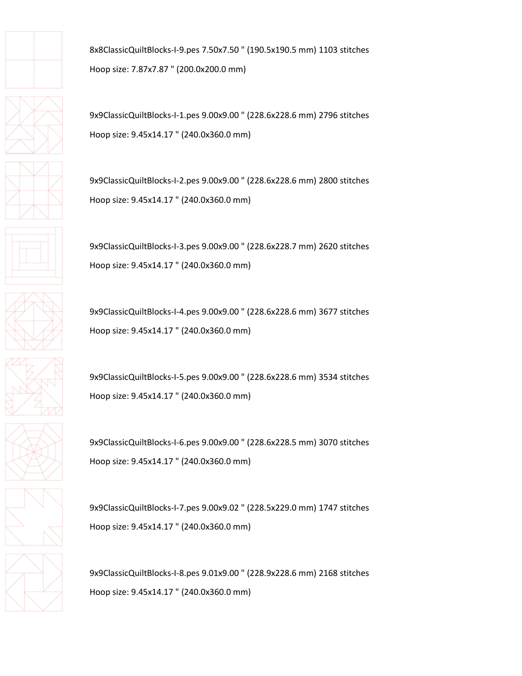

8x8ClassicQuiltBlocks-I-9.pes 7.50x7.50 " (190.5x190.5 mm) 1103 stitches Hoop size: 7.87x7.87 " (200.0x200.0 mm)

9x9ClassicQuiltBlocks-I-1.pes 9.00x9.00 " (228.6x228.6 mm) 2796 stitches Hoop size: 9.45x14.17 " (240.0x360.0 mm)

9x9ClassicQuiltBlocks-I-2.pes 9.00x9.00 " (228.6x228.6 mm) 2800 stitches Hoop size: 9.45x14.17 " (240.0x360.0 mm)

9x9ClassicQuiltBlocks-I-3.pes 9.00x9.00 " (228.6x228.7 mm) 2620 stitches Hoop size: 9.45x14.17 " (240.0x360.0 mm)

9x9ClassicQuiltBlocks-I-4.pes 9.00x9.00 " (228.6x228.6 mm) 3677 stitches Hoop size: 9.45x14.17 " (240.0x360.0 mm)

9x9ClassicQuiltBlocks-I-5.pes 9.00x9.00 " (228.6x228.6 mm) 3534 stitches Hoop size: 9.45x14.17 " (240.0x360.0 mm)

9x9ClassicQuiltBlocks-I-6.pes 9.00x9.00 " (228.6x228.5 mm) 3070 stitches Hoop size: 9.45x14.17 " (240.0x360.0 mm)

9x9ClassicQuiltBlocks-I-7.pes 9.00x9.02 " (228.5x229.0 mm) 1747 stitches Hoop size: 9.45x14.17 " (240.0x360.0 mm)

9x9ClassicQuiltBlocks-I-8.pes 9.01x9.00 " (228.9x228.6 mm) 2168 stitches Hoop size: 9.45x14.17 " (240.0x360.0 mm)